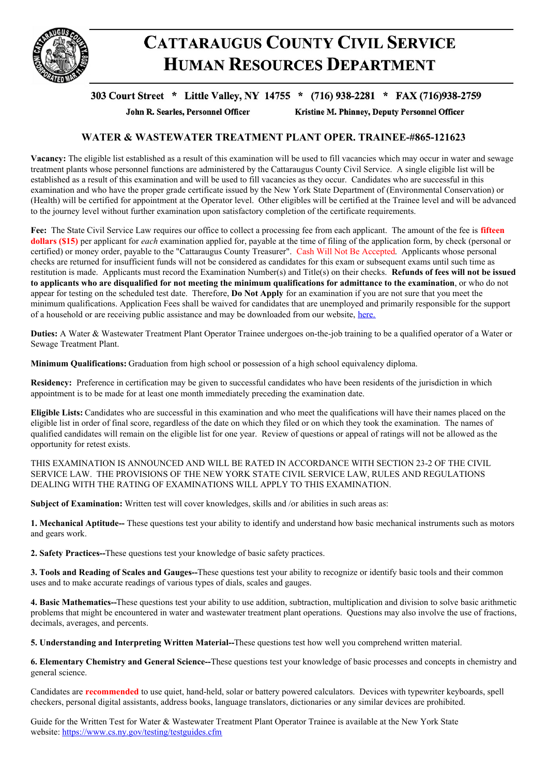

## **CATTARAUGUS COUNTY CIVIL SERVICE HUMAN RESOURCES DEPARTMENT**

## 303 Court Street \* Little Valley, NY 14755 \* (716) 938-2281 \* FAX (716)938-2759

John R. Searles, Personnel Officer

Kristine M. Phinney, Deputy Personnel Officer

## **WATER & WASTEWATER TREATMENT PLANT OPER. TRAINEE-#865-121623**

**Vacancy:** The eligible list established as a result of this examination will be used to fill vacancies which may occur in water and sewage treatment plants whose personnel functions are administered by the Cattaraugus County Civil Service. A single eligible list will be established as a result of this examination and will be used to fill vacancies as they occur. Candidates who are successful in this examination and who have the proper grade certificate issued by the New York State Department of (Environmental Conservation) or (Health) will be certified for appointment at the Operator level. Other eligibles will be certified at the Trainee level and will be advanced to the journey level without further examination upon satisfactory completion of the certificate requirements.

**Fee:** The State Civil Service Law requires our office to collect a processing fee from each applicant. The amount of the fee is **fifteen dollars (\$15)** per applicant for *each* examination applied for, payable at the time of filing of the application form, by check (personal or certified) or money order, payable to the "Cattaraugus County Treasurer". Cash Will Not Be Accepted. Applicants whose personal checks are returned for insufficient funds will not be considered as candidates for this exam or subsequent exams until such time as restitution is made. Applicants must record the Examination Number(s) and Title(s) on their checks. **Refunds of fees will not be issued** to applicants who are disqualified for not meeting the minimum qualifications for admittance to the examination, or who do not appear for testing on the scheduled test date. Therefore, **Do Not Apply** for an examination if you are not sure that you meet the minimum qualifications. Application Fees shall be waived for candidates that are unemployed and primarily responsible for the support of a household or are receiving public assistance and may be downloaded from our website, [here.](https://www.cattco.org/human-resources/exam-info)

**Duties:** A Water & Wastewater Treatment Plant Operator Trainee undergoes on-the-job training to be a qualified operator of a Water or Sewage Treatment Plant.

**Minimum Qualifications:** Graduation from high school or possession of a high school equivalency diploma.

**Residency:** Preference in certification may be given to successful candidates who have been residents of the jurisdiction in which appointment is to be made for at least one month immediately preceding the examination date.

**Eligible Lists:** Candidates who are successful in this examination and who meet the qualifications will have their names placed on the eligible list in order of final score, regardless of the date on which they filed or on which they took the examination. The names of qualified candidates will remain on the eligible list for one year. Review of questions or appeal of ratings will not be allowed as the opportunity for retest exists.

THIS EXAMINATION IS ANNOUNCED AND WILL BE RATED IN ACCORDANCE WITH SECTION 23-2 OF THE CIVIL SERVICE LAW. THE PROVISIONS OF THE NEW YORK STATE CIVIL SERVICE LAW, RULES AND REGULATIONS DEALING WITH THE RATING OF EXAMINATIONS WILL APPLY TO THIS EXAMINATION.

**Subject of Examination:** Written test will cover knowledges, skills and /or abilities in such areas as:

**1. Mechanical Aptitude--** These questions test your ability to identify and understand how basic mechanical instruments such as motors and gears work.

**2. Safety Practices--**These questions test your knowledge of basic safety practices.

**3. Tools and Reading of Scales and Gauges--**These questions test your ability to recognize or identify basic tools and their common uses and to make accurate readings of various types of dials, scales and gauges.

**4. Basic Mathematics--**These questions test your ability to use addition, subtraction, multiplication and division to solve basic arithmetic problems that might be encountered in water and wastewater treatment plant operations. Questions may also involve the use of fractions, decimals, averages, and percents.

**5. Understanding and Interpreting Written Material--**These questions test how well you comprehend written material.

**6. Elementary Chemistry and General Science--**These questions test your knowledge of basic processes and concepts in chemistry and general science.

Candidates are **recommended** to use quiet, hand-held, solar or battery powered calculators. Devices with typewriter keyboards, spell checkers, personal digital assistants, address books, language translators, dictionaries or any similar devices are prohibited.

Guide for the Written Test for Water & Wastewater Treatment Plant Operator Trainee is available at the New York State website: <https://www.cs.ny.gov/testing/testguides.cfm>